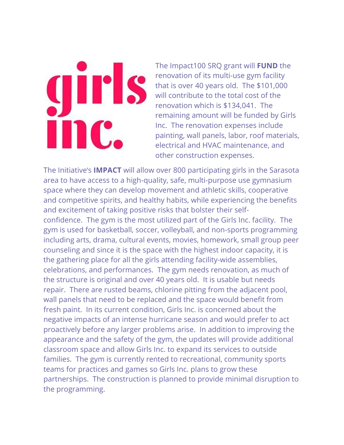## girl! inc.

The Impact100 SRQ grant will **FUND** the renovation of its multi-use gym facility that is over 40 years old. The \$101,000 will contribute to the total cost of the renovation which is \$134,041. The remaining amount will be funded by Girls Inc. The renovation expenses include painting, wall panels, labor, roof materials, electrical and HVAC maintenance, and other construction expenses.

The Initiative's **IMPACT** will allow over 800 participating girls in the Sarasota area to have access to a high-quality, safe, multi-purpose use gymnasium space where they can develop movement and athletic skills, cooperative and competitive spirits, and healthy habits, while experiencing the benefits and excitement of taking positive risks that bolster their selfconfidence. The gym is the most utilized part of the Girls Inc. facility. The gym is used for basketball, soccer, volleyball, and non-sports programming including arts, drama, cultural events, movies, homework, small group peer counseling and since it is the space with the highest indoor capacity, it is the gathering place for all the girls attending facility-wide assemblies, celebrations, and performances. The gym needs renovation, as much of the structure is original and over 40 years old. It is usable but needs repair. There are rusted beams, chlorine pitting from the adjacent pool, wall panels that need to be replaced and the space would benefit from fresh paint. In its current condition, Girls Inc. is concerned about the negative impacts of an intense hurricane season and would prefer to act proactively before any larger problems arise. In addition to improving the appearance and the safety of the gym, the updates will provide additional classroom space and allow Girls Inc. to expand its services to outside families. The gym is currently rented to recreational, community sports teams for practices and games so Girls Inc. plans to grow these partnerships. The construction is planned to provide minimal disruption to the programming.